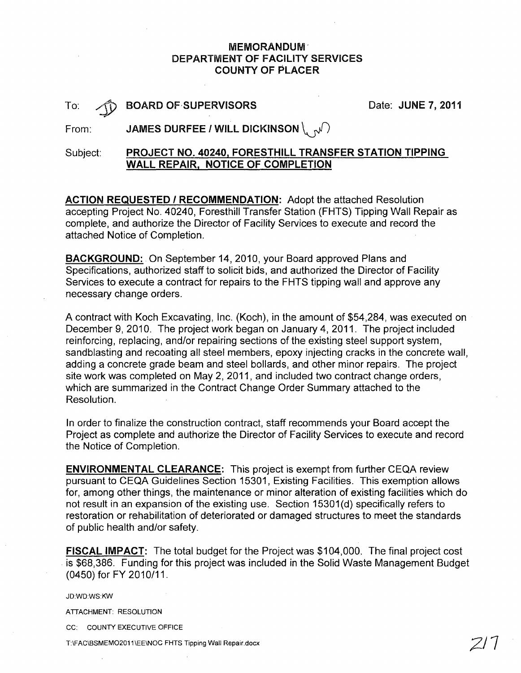### MEMORANDUM-DEPARTMENT OF FACILITY SERVICES COUNTY OF PLACER

|         | é  |
|---------|----|
| ſ<br>O. | f, |

BOARD OF SUPERVISORS

Date: JUNE 7, 2011

From: **JAMES DURFEE / WILL DICKINSON**  $\setminus \mathcal{N}$ 

# Subject: PROJECT NO. 40240. FORESTHILL TRANSFER STATION TIPPING WALL REPAIR. NOTICE OF COMPLETION

ACTION REQUESTED / RECOMMENDATION: Adopt the attached Resolution accepting Project No. 40240, Foresthill Transfer Station (FHTS) Tipping Wall Repair as complete, and authorize the Director of Facility Services to execute and record the attached Notice of Completion.

BACKGROUND:. On September 14, 2010, your Board approved Plans and Specifications, authorized staff to solicit bids, and authorized the Director of Facility Services to execute a contract for repairs to the FHTS tipping wall and approve any necessary change orders.

A contract with Koch Excavating, Inc. (Koch), in the amount of \$54,284, was executed on December 9, 2010. The project work began on January 4, 2011. The project included reinforcing, replacing, and/or repairing sections of the existing steel support system, sandblasting and recoating all steel members, epoxy injecting cracks in the concrete wall, adding a concrete grade beam and steel bollards, and other minor repairs. The project site work was completed on May 2, 2011, and included two contract change orders, which are summarized in the Contract Change Order Summary attached to the Resolution.

In order to finalize the construction contract, staff recommends your Board accept the Project as complete and authorize the Director of Facility Services to execute and record the Notice of Completion.

ENVIRONMENTAL CLEARANCE: This project is exempt from further CEQA review pursuant to CEQA Guidelines Section 15301, Existing Facilities. This exemption allows for, among other things, the maintenance or minor alteration of existing facilities which do not result in an expansion of the existing use. Section 15301(d) specifically refers to restoration or rehabilitation of deteriorated or damaged structures to meet the standards of public health and/or safety.

FISCAL IMPACT: The total budget for the Project was \$104,000. The final project cost . is \$68,386. Funding for this project was included in the Solid Waste Management Budget (0450) for FY 2010/11.

JD:WD:WS:KW

ATIACHMENT: RESOLUTION

CC: COUNTY EXECUTIVE OFFICE

T:\FAC\SSMEM02011\EE\NOC FHTS Tipping Wall Repair.docx *2/7*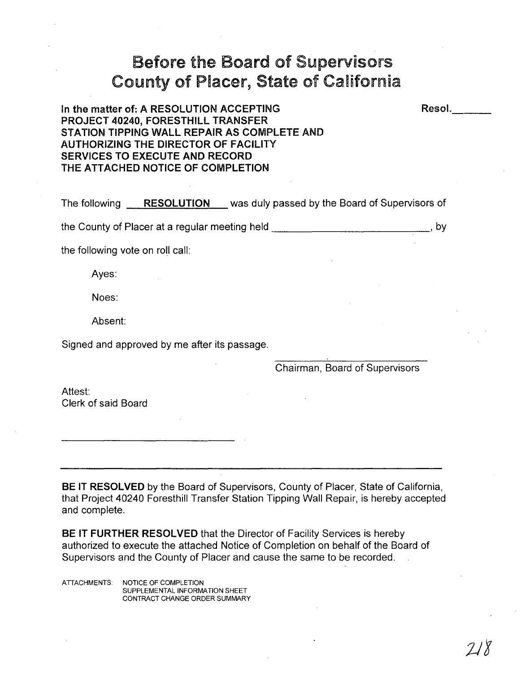# Before the Board of Supervisors County of Placer, State of California

# In the matter of: A RESOLUTION ACCEPTING PROJECT 40240, FORESTHILL TRANSFER STATION TIPPING WALL REPAIR AS COMPLETE AND AUTHORIZING THE DIRECTOR OF FACILITY SERVICES TO EXECUTE AND RECORD THE ATTACHED NOTICE OF COMPLETION

The following \_....:R~E:.;S::...;O:::..:L=-U:::..:T.:...;I:..=O~N.:-\_ was duly passed by the Board of Supervisors of the County of Placer at a regular meeting held **the County of Placer at a regular meeting held** 

the following vote on roll call:

Ayes:

Noes:

Absent:

Signed and approved by me after its passage.

Chairman, Board of Supervisors

Attest: Clerk of said Board

BE IT RESOLVED by the Board of Supervisors, County of Placer, State of California, that Project 40240 Foresthill Transfer Station Tipping Wall Repair, is hereby accepted and complete.

BE IT FURTHER RESOLVED that the Director of Facility Services is hereby authorized to execute the attached Notice of Completion on behalf of the Board of Supervisors and the County of Placer and cause the same to be recorded.

ATIACHMENTS: NOTICE OF COMPLETION SUPPLEMENTAL INFORMATION SHEET CONTRACT CHANGE ORDER SUMMARY Resol.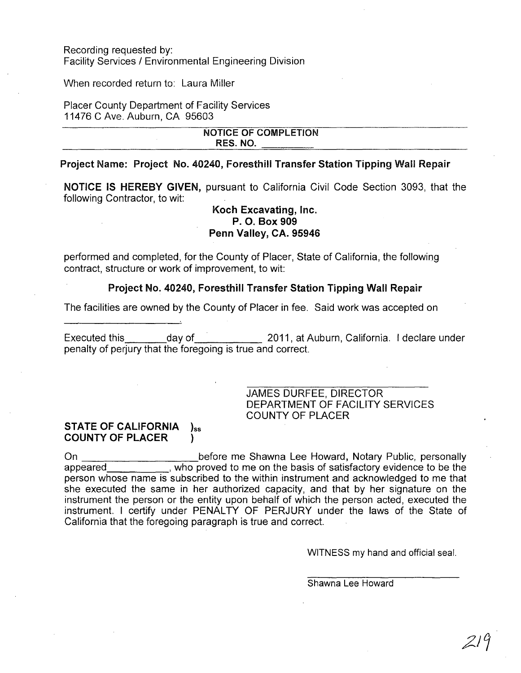Recording requested by: Facility Services / Environmental Engineering Division

When recorded return to: Laura Miller

Placer County Department of Facility Services 11476 C Ave. Auburn, CA 95603

#### NOTICE OF COMPLETION RES. NO.

#### Project Name: Project No. 40240, Foresthill Transfer Station Tipping Wall Repair

NOTICE IS HEREBY GIVEN, pursuant to California Civil Code Section 3093, that the following Contractor, to wit:

#### Koch Excavating, Inc. P. O. Box 909 Penn Valley, CA. 95946

performed and completed, for the County of Placer, State of California, the following contract, structure or work of improvement, to wit:

#### Project No. 40240, Foresthill Transfer Station Tipping Wall Repair

The facilities are owned by the County of Placer in fee. Said work was accepted on

Executed this day of 2011, at Auburn, California. I declare under penalty of perjury that the foregoing is true and correct.

#### JAMES DURFEE, DIRECTOR DEPARTMENT OF FACILITY SERVICES COUNTY OF PLACER

#### STATE OF CALIFORNIA  $)_{ss}$ COUNTY OF PLACER )

On before me Shawna Lee Howard, Notary Public, personally appeared , who proved to me on the basis of satisfactory evidence to be the person whose name is subscribed to the within instrument and acknowledged to me that she executed the same in her authorized capacity, and that by her signature on the instrument the person or the entity upon behalf of which the person acted, executed the instrument. I certify under PENALTY OF PERJURY under the laws of the State of California that the foregoing paragraph is true and correct.

WITNESS my hand and official seal.

Shawna Lee Howard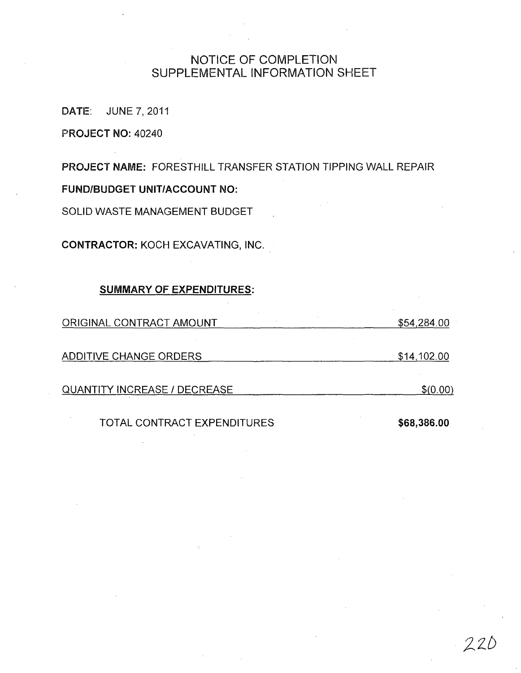# NOTICE OF COMPLETION SUPPLEMENTAL INFORMATION SHEET

DATE: JUNE 7,2011

PROJECT NO: 40240

PROJECT NAME: FORESTHILL TRANSFER STATION TIPPING WALL REPAIR

FUND/BUDGET UNIT/ACCOUNT NO:

SOLID WASTE MANAGEMENT BUDGET

CONTRACTOR: KOCH EXCAVATING, INC.

#### SUMMARY OF EXPENDITURES:

| ORIGINAL CONTRACT AMOUNT            | \$54,284.00 |  |
|-------------------------------------|-------------|--|
|                                     |             |  |
| ADDITIVE CHANGE ORDERS              | \$14,102.00 |  |
|                                     |             |  |
| <b>QUANTITY INCREASE / DECREASE</b> | \$(0.00)    |  |

TOTAL CONTRACT EXPENDITURES \$68,386.00